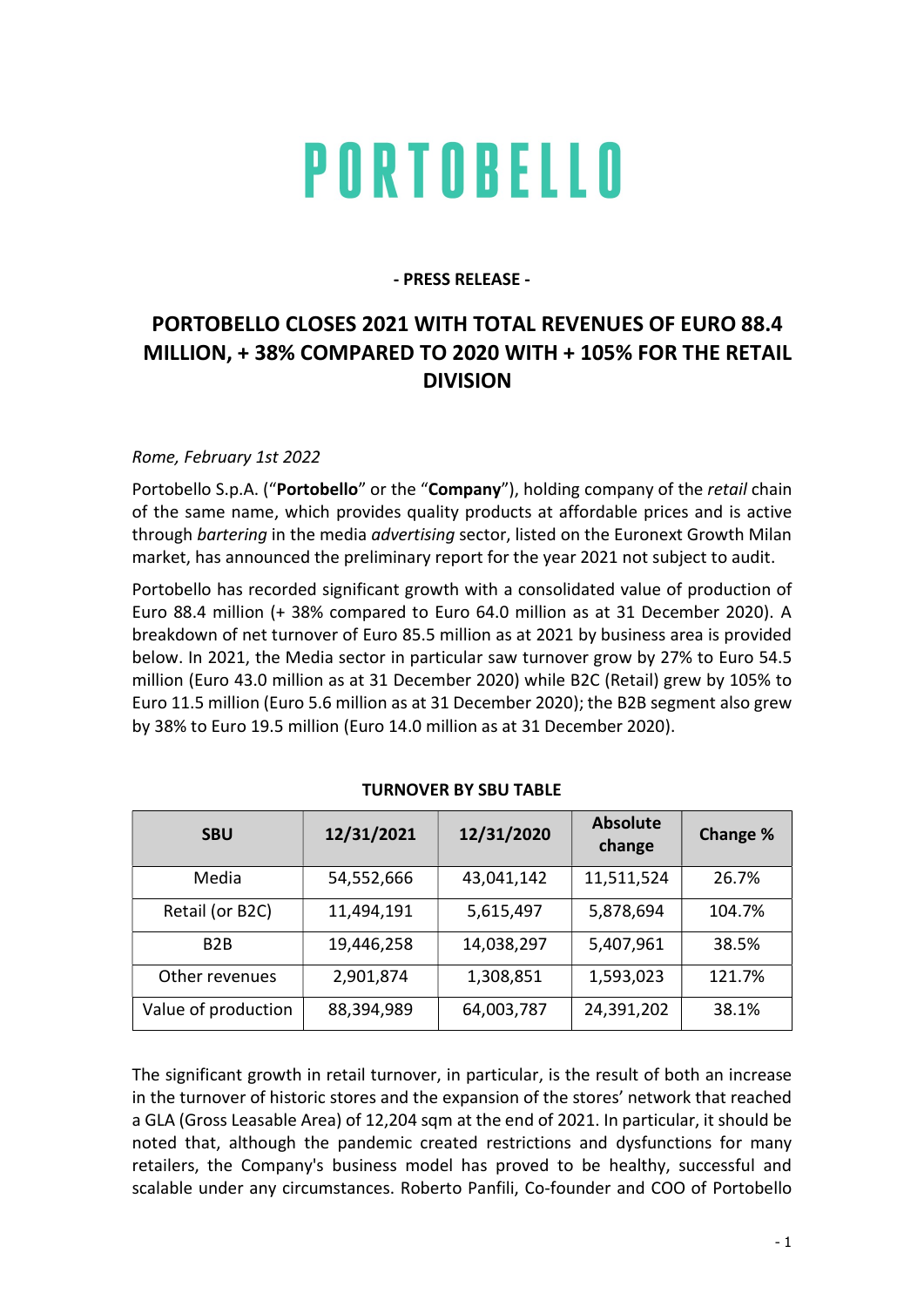# PORTOBELLO

### - PRESS RELEASE -

## PORTOBELLO CLOSES 2021 WITH TOTAL REVENUES OF EURO 88.4 MILLION, + 38% COMPARED TO 2020 WITH + 105% FOR THE RETAIL DIVISION

#### Rome, February 1st 2022

Portobello S.p.A. ("Portobello" or the "Company"), holding company of the retail chain of the same name, which provides quality products at affordable prices and is active through bartering in the media advertising sector, listed on the Euronext Growth Milan market, has announced the preliminary report for the year 2021 not subject to audit.

Portobello has recorded significant growth with a consolidated value of production of Euro 88.4 million (+ 38% compared to Euro 64.0 million as at 31 December 2020). A breakdown of net turnover of Euro 85.5 million as at 2021 by business area is provided below. In 2021, the Media sector in particular saw turnover grow by 27% to Euro 54.5 million (Euro 43.0 million as at 31 December 2020) while B2C (Retail) grew by 105% to Euro 11.5 million (Euro 5.6 million as at 31 December 2020); the B2B segment also grew by 38% to Euro 19.5 million (Euro 14.0 million as at 31 December 2020).

| <b>SBU</b>          | 12/31/2021 | 12/31/2020 | <b>Absolute</b><br>change | Change % |
|---------------------|------------|------------|---------------------------|----------|
| Media               | 54,552,666 | 43,041,142 | 11,511,524                | 26.7%    |
| Retail (or B2C)     | 11,494,191 | 5,615,497  | 5,878,694                 | 104.7%   |
| B <sub>2</sub> B    | 19,446,258 | 14,038,297 | 5,407,961                 | 38.5%    |
| Other revenues      | 2,901,874  | 1,308,851  | 1,593,023                 | 121.7%   |
| Value of production | 88,394,989 | 64,003,787 | 24,391,202                | 38.1%    |

#### TURNOVER BY SBU TABLE

The significant growth in retail turnover, in particular, is the result of both an increase in the turnover of historic stores and the expansion of the stores' network that reached a GLA (Gross Leasable Area) of 12,204 sqm at the end of 2021. In particular, it should be noted that, although the pandemic created restrictions and dysfunctions for many retailers, the Company's business model has proved to be healthy, successful and scalable under any circumstances. Roberto Panfili, Co-founder and COO of Portobello